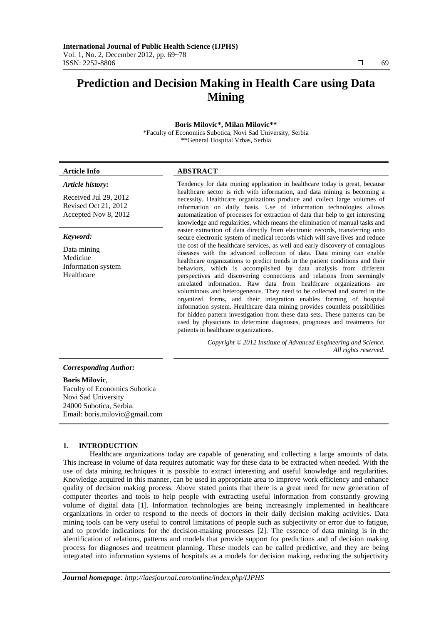# **Prediction and Decision Making in Health Care using Data Mining**

# **Boris Milovic\*, Milan Milovic\*\***  \*Faculty of Economics Subotica, Novi Sad University, Serbia \*\*General Hospital Vrbas, Serbia

# **Article Info ABSTRACT**

# *Article history:*

Received Jul 29, 2012 Revised Oct 21, 2012 Accepted Nov 8, 2012

#### *Keyword:*

Data mining Medicine Information system Healthcare

Tendency for data mining application in healthcare today is great, because healthcare sector is rich with information, and data mining is becoming a necessity. Healthcare organizations produce and collect large volumes of information on daily basis. Use of information technologies allows automatization of processes for extraction of data that help to get interesting knowledge and regularities, which means the elimination of manual tasks and easier extraction of data directly from electronic records, transferring onto secure electronic system of medical records which will save lives and reduce the cost of the healthcare services, as well and early discovery of contagious diseases with the advanced collection of data. Data mining can enable healthcare organizations to predict trends in the patient conditions and their behaviors, which is accomplished by data analysis from different perspectives and discovering connections and relations from seemingly unrelated information. Raw data from healthcare organizations are voluminous and heterogeneous. They need to be collected and stored in the organized forms, and their integration enables forming of hospital information system. Healthcare data mining provides countless possibilities for hidden pattern investigation from these data sets. These patterns can be used by physicians to determine diagnoses, prognoses and treatments for patients in healthcare organizations.

> *Copyright © 2012 Institute of Advanced Engineering and Science. All rights reserved.*

#### *Corresponding Author:*

**Boris Milovic**, Faculty of Economics Subotica Novi Sad University 24000 Subotica, Serbia. Email: boris.milovic@gmail.com

#### **1. INTRODUCTION**

Healthcare organizations today are capable of generating and collecting a large amounts of data. This increase in volume of data requires automatic way for these data to be extracted when needed. With the use of data mining techniques it is possible to extract interesting and useful knowledge and regularities. Knowledge acquired in this manner, can be used in appropriate area to improve work efficiency and enhance quality of decision making process. Above stated points that there is a great need for new generation of computer theories and tools to help people with extracting useful information from constantly growing volume of digital data [1]. Information technologies are being increasingly implemented in healthcare organizations in order to respond to the needs of doctors in their daily decision making activities. Data mining tools can be very useful to control limitations of people such as subjectivity or error due to fatigue, and to provide indications for the decision-making processes [2]. The essence of data mining is in the identification of relations, patterns and models that provide support for predictions and of decision making process for diagnoses and treatment planning. These models can be called predictive, and they are being integrated into information systems of hospitals as a models for decision making, reducing the subjectivity

Ī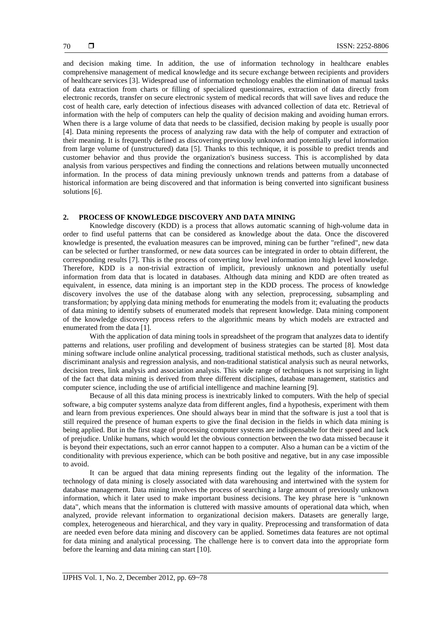and decision making time. In addition, the use of information technology in healthcare enables comprehensive management of medical knowledge and its secure exchange between recipients and providers of healthcare services [3]. Widespread use of information technology enables the elimination of manual tasks of data extraction from charts or filling of specialized questionnaires, extraction of data directly from electronic records, transfer on secure electronic system of medical records that will save lives and reduce the cost of health care, early detection of infectious diseases with advanced collection of data etc. Retrieval of information with the help of computers can help the quality of decision making and avoiding human errors. When there is a large volume of data that needs to be classified, decision making by people is usually poor [4]. Data mining represents the process of analyzing raw data with the help of computer and extraction of their meaning. It is frequently defined as discovering previously unknown and potentially useful information from large volume of (unstructured) data [5]. Thanks to this technique, it is possible to predict trends and customer behavior and thus provide the organization's business success. This is accomplished by data analysis from various perspectives and finding the connections and relations between mutually unconnected information. In the process of data mining previously unknown trends and patterns from a database of historical information are being discovered and that information is being converted into significant business solutions [6].

# **2. PROCESS OF KNOWLEDGE DISCOVERY AND DATA MINING**

Knowledge discovery (KDD) is a process that allows automatic scanning of high-volume data in order to find useful patterns that can be considered as knowledge about the data. Once the discovered knowledge is presented, the evaluation measures can be improved, mining can be further "refined", new data can be selected or further transformed, or new data sources can be integrated in order to obtain different, the corresponding results [7]. This is the process of converting low level information into high level knowledge. Therefore, KDD is a non-trivial extraction of implicit, previously unknown and potentially useful information from data that is located in databases. Although data mining and KDD are often treated as equivalent, in essence, data mining is an important step in the KDD process. The process of knowledge discovery involves the use of the database along with any selection, preprocessing, subsampling and transformation; by applying data mining methods for enumerating the models from it; evaluating the products of data mining to identify subsets of enumerated models that represent knowledge. Data mining component of the knowledge discovery process refers to the algorithmic means by which models are extracted and enumerated from the data [1].

With the application of data mining tools in spreadsheet of the program that analyzes data to identify patterns and relations, user profiling and development of business strategies can be started [8]. Most data mining software include online analytical processing, traditional statistical methods, such as cluster analysis, discriminant analysis and regression analysis, and non-traditional statistical analysis such as neural networks, decision trees, link analysis and association analysis. This wide range of techniques is not surprising in light of the fact that data mining is derived from three different disciplines, database management, statistics and computer science, including the use of artificial intelligence and machine learning [9].

Because of all this data mining process is inextricably linked to computers. With the help of special software, a big computer systems analyze data from different angles, find a hypothesis, experiment with them and learn from previous experiences. One should always bear in mind that the software is just a tool that is still required the presence of human experts to give the final decision in the fields in which data mining is being applied. But in the first stage of processing computer systems are indispensable for their speed and lack of prejudice. Unlike humans, which would let the obvious connection between the two data missed because it is beyond their expectations, such an error cannot happen to a computer. Also a human can be a victim of the conditionality with previous experience, which can be both positive and negative, but in any case impossible to avoid.

It can be argued that data mining represents finding out the legality of the information. The technology of data mining is closely associated with data warehousing and intertwined with the system for database management. Data mining involves the process of searching a large amount of previously unknown information, which it later used to make important business decisions. The key phrase here is "unknown data", which means that the information is cluttered with massive amounts of operational data which, when analyzed, provide relevant information to organizational decision makers. Datasets are generally large, complex, heterogeneous and hierarchical, and they vary in quality. Preprocessing and transformation of data are needed even before data mining and discovery can be applied. Sometimes data features are not optimal for data mining and analytical processing. The challenge here is to convert data into the appropriate form before the learning and data mining can start [10].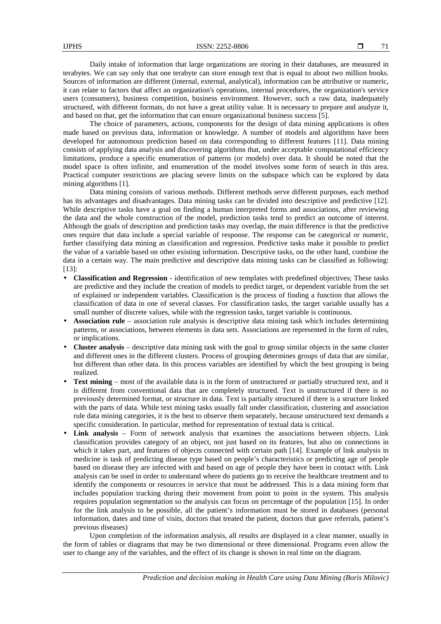Daily intake of information that large organizations are storing in their databases, are measured in terabytes. We can say only that one terabyte can store enough text that is equal to about two million books. Sources of information are different (internal, external, analytical), information can be attributive or numeric, it can relate to factors that affect an organization's operations, internal procedures, the organization's service users (consumers), business competition, business environment. However, such a raw data, inadequately structured, with different formats, do not have a great utility value. It is necessary to prepare and analyze it, and based on that, get the information that can ensure organizational business success [5].

The choice of parameters, actions, components for the design of data mining applications is often made based on previous data, information or knowledge. A number of models and algorithms have been developed for autonomous prediction based on data corresponding to different features [11]. Data mining consists of applying data analysis and discovering algorithms that, under acceptable computational efficiency limitations, produce a specific enumeration of patterns (or models) over data. It should be noted that the model space is often infinite, and enumeration of the model involves some form of search in this area. Practical computer restrictions are placing severe limits on the subspace which can be explored by data mining algorithms [1].

Data mining consists of various methods. Different methods serve different purposes, each method has its advantages and disadvantages. Data mining tasks can be divided into descriptive and predictive [12]. While descriptive tasks have a goal on finding a human interpreted forms and associations, after reviewing the data and the whole construction of the model, prediction tasks tend to predict an outcome of interest. Although the goals of description and prediction tasks may overlap, the main difference is that the predictive ones require that data include a special variable of response. The response can be categorical or numeric, further classifying data mining as classification and regression. Predictive tasks make it possible to predict the value of a variable based on other existing information. Descriptive tasks, on the other hand, combine the data in a certain way. The main predictive and descriptive data mining tasks can be classified as following: [13]:

- **Classification and Regression** identification of new templates with predefined objectives; These tasks are predictive and they include the creation of models to predict target, or dependent variable from the set of explained or independent variables. Classification is the process of finding a function that allows the classification of data in one of several classes. For classification tasks, the target variable usually has a small number of discrete values, while with the regression tasks, target variable is continuous.
- **Association rule** association rule analysis is descriptive data mining task which includes determining patterns, or associations, between elements in data sets. Associations are represented in the form of rules, or implications.
- **Cluster analysis** descriptive data mining task with the goal to group similar objects in the same cluster and different ones in the different clusters. Process of grouping determines groups of data that are similar, but different than other data. In this process variables are identified by which the best grouping is being realized.
- **Text mining** most of the available data is in the form of unstructured or partially structured text, and it is different from conventional data that are completely structured. Text is unstructured if there is no previously determined format, or structure in data. Text is partially structured if there is a structure linked with the parts of data. While text mining tasks usually fall under classification, clustering and association rule data mining categories, it is the best to observe them separately, because unstructured text demands a specific consideration. In particular, method for representation of textual data is critical.
- **Link analysis** Form of network analysis that examines the associations between objects. Link classification provides category of an object, not just based on its features, but also on connections in which it takes part, and features of objects connected with certain path [14]. Example of link analysis in medicine is task of predicting disease type based on people's characteristics or predicting age of people based on disease they are infected with and based on age of people they have been in contact with. Link analysis can be used in order to understand where do patients go to receive the healthcare treatment and to identify the components or resources in service that must be addressed. This is a data mining form that includes population tracking during their movement from point to point in the system. This analysis requires population segmentation so the analysis can focus on percentage of the population [15]. In order for the link analysis to be possible, all the patient's information must be stored in databases (personal information, dates and time of visits, doctors that treated the patient, doctors that gave referrals, patient's previous diseases)

Upon completion of the information analysis, all results are displayed in a clear manner, usually in the form of tables or diagrams that may be two dimensional or three dimensional. Programs even allow the user to change any of the variables, and the effect of its change is shown in real time on the diagram.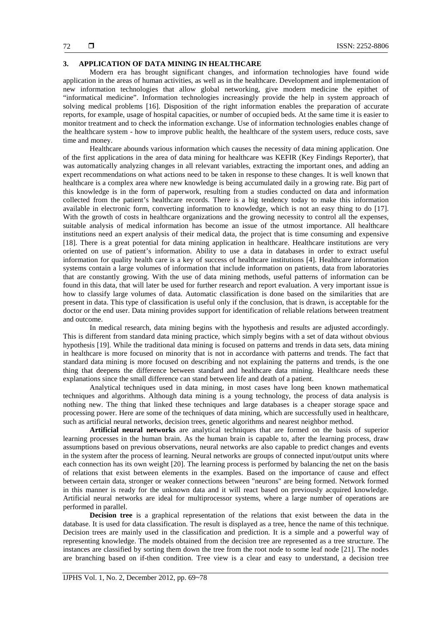# **3. APPLICATION OF DATA MINING IN HEALTHCARE**

Modern era has brought significant changes, and information technologies have found wide application in the areas of human activities, as well as in the healthcare. Development and implementation of new information technologies that allow global networking, give modern medicine the epithet of "informatical medicine". Information technologies increasingly provide the help in system approach of solving medical problems [16]. Disposition of the right information enables the preparation of accurate reports, for example, usage of hospital capacities, or number of occupied beds. At the same time it is easier to monitor treatment and to check the information exchange. Use of information technologies enables change of the healthcare system - how to improve public health, the healthcare of the system users, reduce costs, save time and money.

Healthcare abounds various information which causes the necessity of data mining application. One of the first applications in the area of data mining for healthcare was KEFIR (Key Findings Reporter), that was automatically analyzing changes in all relevant variables, extracting the important ones, and adding an expert recommendations on what actions need to be taken in response to these changes. It is well known that healthcare is a complex area where new knowledge is being accumulated daily in a growing rate. Big part of this knowledge is in the form of paperwork, resulting from a studies conducted on data and information collected from the patient's healthcare records. There is a big tendency today to make this information available in electronic form, converting information to knowledge, which is not an easy thing to do [17]. With the growth of costs in healthcare organizations and the growing necessity to control all the expenses, suitable analysis of medical information has become an issue of the utmost importance. All healthcare institutions need an expert analysis of their medical data, the project that is time consuming and expensive [18]. There is a great potential for data mining application in healthcare. Healthcare institutions are very oriented on use of patient's information. Ability to use a data in databases in order to extract useful information for quality health care is a key of success of healthcare institutions [4]. Healthcare information systems contain a large volumes of information that include information on patients, data from laboratories that are constantly growing. With the use of data mining methods, useful patterns of information can be found in this data, that will later be used for further research and report evaluation. A very important issue is how to classify large volumes of data. Automatic classification is done based on the similarities that are present in data. This type of classification is useful only if the conclusion, that is drawn, is acceptable for the doctor or the end user. Data mining provides support for identification of reliable relations between treatment and outcome.

In medical research, data mining begins with the hypothesis and results are adjusted accordingly. This is different from standard data mining practice, which simply begins with a set of data without obvious hypothesis [19]. While the traditional data mining is focused on patterns and trends in data sets, data mining in healthcare is more focused on minority that is not in accordance with patterns and trends. The fact that standard data mining is more focused on describing and not explaining the patterns and trends, is the one thing that deepens the difference between standard and healthcare data mining. Healthcare needs these explanations since the small difference can stand between life and death of a patient.

Analytical techniques used in data mining, in most cases have long been known mathematical techniques and algorithms. Although data mining is a young technology, the process of data analysis is nothing new. The thing that linked these techniques and large databases is a cheaper storage space and processing power. Here are some of the techniques of data mining, which are successfully used in healthcare, such as artificial neural networks, decision trees, genetic algorithms and nearest neighbor method.

**Artificial neural networks** are analytical techniques that are formed on the basis of superior learning processes in the human brain. As the human brain is capable to, after the learning process, draw assumptions based on previous observations, neural networks are also capable to predict changes and events in the system after the process of learning. Neural networks are groups of connected input/output units where each connection has its own weight [20]. The learning process is performed by balancing the net on the basis of relations that exist between elements in the examples. Based on the importance of cause and effect between certain data, stronger or weaker connections between "neurons" are being formed. Network formed in this manner is ready for the unknown data and it will react based on previously acquired knowledge. Artificial neural networks are ideal for multiprocessor systems, where a large number of operations are performed in parallel.

**Decision tree** is a graphical representation of the relations that exist between the data in the database. It is used for data classification. The result is displayed as a tree, hence the name of this technique. Decision trees are mainly used in the classification and prediction. It is a simple and a powerful way of representing knowledge. The models obtained from the decision tree are represented as a tree structure. The instances are classified by sorting them down the tree from the root node to some leaf node [21]. The nodes are branching based on if-then condition. Tree view is a clear and easy to understand, a decision tree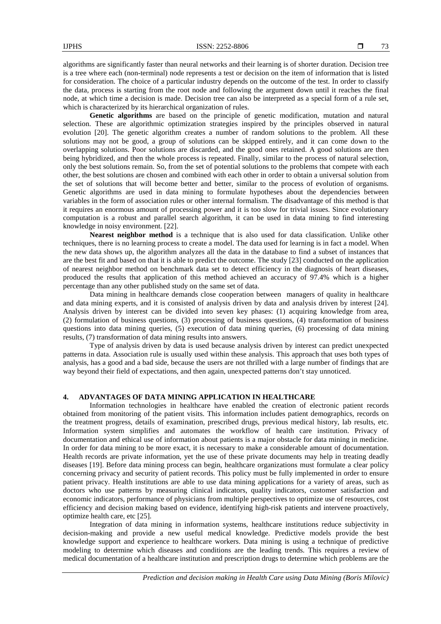algorithms are significantly faster than neural networks and their learning is of shorter duration. Decision tree is a tree where each (non-terminal) node represents a test or decision on the item of information that is listed for consideration. The choice of a particular industry depends on the outcome of the test. In order to classify the data, process is starting from the root node and following the argument down until it reaches the final node, at which time a decision is made. Decision tree can also be interpreted as a special form of a rule set, which is characterized by its hierarchical organization of rules.

**Genetic algorithms** are based on the principle of genetic modification, mutation and natural selection. These are algorithmic optimization strategies inspired by the principles observed in natural evolution [20]. The genetic algorithm creates a number of random solutions to the problem. All these solutions may not be good, a group of solutions can be skipped entirely, and it can come down to the overlapping solutions. Poor solutions are discarded, and the good ones retained. A good solutions are then being hybridized, and then the whole process is repeated. Finally, similar to the process of natural selection, only the best solutions remain. So, from the set of potential solutions to the problems that compete with each other, the best solutions are chosen and combined with each other in order to obtain a universal solution from the set of solutions that will become better and better, similar to the process of evolution of organisms. Genetic algorithms are used in data mining to formulate hypotheses about the dependencies between variables in the form of association rules or other internal formalism. The disadvantage of this method is that it requires an enormous amount of processing power and it is too slow for trivial issues. Since evolutionary computation is a robust and parallel search algorithm, it can be used in data mining to find interesting knowledge in noisy environment. [22].

**Nearest neighbor method** is a technique that is also used for data classification. Unlike other techniques, there is no learning process to create a model. The data used for learning is in fact a model. When the new data shows up, the algorithm analyzes all the data in the database to find a subset of instances that are the best fit and based on that it is able to predict the outcome. The study [23] conducted on the application of nearest neighbor method on benchmark data set to detect efficiency in the diagnosis of heart diseases, produced the results that application of this method achieved an accuracy of 97.4% which is a higher percentage than any other published study on the same set of data.

Data mining in healthcare demands close cooperation between managers of quality in healthcare and data mining experts, and it is consisted of analysis driven by data and analysis driven by interest [24]. Analysis driven by interest can be divided into seven key phases: (1) acquiring knowledge from area, (2) formulation of business questions, (3) processing of business questions, (4) transformation of business questions into data mining queries, (5) execution of data mining queries, (6) processing of data mining results, (7) transformation of data mining results into answers.

Type of analysis driven by data is used because analysis driven by interest can predict unexpected patterns in data. Association rule is usually used within these analysis. This approach that uses both types of analysis, has a good and a bad side, because the users are not thrilled with a large number of findings that are way beyond their field of expectations, and then again, unexpected patterns don't stay unnoticed.

# **4. ADVANTAGES OF DATA MINING APPLICATION IN HEALTHCARE**

Information technologies in healthcare have enabled the creation of electronic patient records obtained from monitoring of the patient visits. This information includes patient demographics, records on the treatment progress, details of examination, prescribed drugs, previous medical history, lab results, etc. Information system simplifies and automates the workflow of health care institution. Privacy of documentation and ethical use of information about patients is a major obstacle for data mining in medicine. In order for data mining to be more exact, it is necessary to make a considerable amount of documentation. Health records are private information, yet the use of these private documents may help in treating deadly diseases [19]. Before data mining process can begin, healthcare organizations must formulate a clear policy concerning privacy and security of patient records. This policy must be fully implemented in order to ensure patient privacy. Health institutions are able to use data mining applications for a variety of areas, such as doctors who use patterns by measuring clinical indicators, quality indicators, customer satisfaction and economic indicators, performance of physicians from multiple perspectives to optimize use of resources, cost efficiency and decision making based on evidence, identifying high-risk patients and intervene proactively, optimize health care, etc [25].

Integration of data mining in information systems, healthcare institutions reduce subjectivity in decision-making and provide a new useful medical knowledge. Predictive models provide the best knowledge support and experience to healthcare workers. Data mining is using a technique of predictive modeling to determine which diseases and conditions are the leading trends. This requires a review of medical documentation of a healthcare institution and prescription drugs to determine which problems are the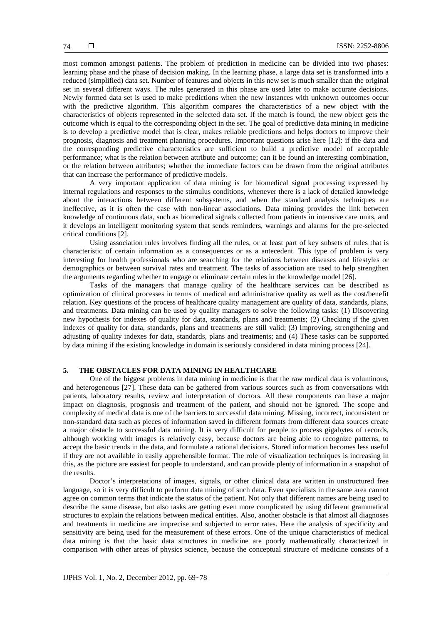most common amongst patients. The problem of prediction in medicine can be divided into two phases: learning phase and the phase of decision making. In the learning phase, a large data set is transformed into a reduced (simplified) data set. Number of features and objects in this new set is much smaller than the original set in several different ways. The rules generated in this phase are used later to make accurate decisions. Newly formed data set is used to make predictions when the new instances with unknown outcomes occur with the predictive algorithm. This algorithm compares the characteristics of a new object with the characteristics of objects represented in the selected data set. If the match is found, the new object gets the outcome which is equal to the corresponding object in the set. The goal of predictive data mining in medicine is to develop a predictive model that is clear, makes reliable predictions and helps doctors to improve their prognosis, diagnosis and treatment planning procedures. Important questions arise here [12]: if the data and the corresponding predictive characteristics are sufficient to build a predictive model of acceptable performance; what is the relation between attribute and outcome; can it be found an interesting combination, or the relation between attributes; whether the immediate factors can be drawn from the original attributes that can increase the performance of predictive models.

A very important application of data mining is for biomedical signal processing expressed by internal regulations and responses to the stimulus conditions, whenever there is a lack of detailed knowledge about the interactions between different subsystems, and when the standard analysis techniques are ineffective, as it is often the case with non-linear associations. Data mining provides the link between knowledge of continuous data, such as biomedical signals collected from patients in intensive care units, and it develops an intelligent monitoring system that sends reminders, warnings and alarms for the pre-selected critical conditions [2].

Using association rules involves finding all the rules, or at least part of key subsets of rules that is characteristic of certain information as a consequences or as a antecedent. This type of problem is very interesting for health professionals who are searching for the relations between diseases and lifestyles or demographics or between survival rates and treatment. The tasks of association are used to help strengthen the arguments regarding whether to engage or eliminate certain rules in the knowledge model [26].

Tasks of the managers that manage quality of the healthcare services can be described as optimization of clinical processes in terms of medical and administrative quality as well as the cost/benefit relation. Key questions of the process of healthcare quality management are quality of data, standards, plans, and treatments. Data mining can be used by quality managers to solve the following tasks: (1) Discovering new hypothesis for indexes of quality for data, standards, plans and treatments; (2) Checking if the given indexes of quality for data, standards, plans and treatments are still valid; (3) Improving, strengthening and adjusting of quality indexes for data, standards, plans and treatments; and (4) These tasks can be supported by data mining if the existing knowledge in domain is seriously considered in data mining process [24].

# **5. THE OBSTACLES FOR DATA MINING IN HEALTHCARE**

One of the biggest problems in data mining in medicine is that the raw medical data is voluminous, and heterogeneous [27]. These data can be gathered from various sources such as from conversations with patients, laboratory results, review and interpretation of doctors. All these components can have a major impact on diagnosis, prognosis and treatment of the patient, and should not be ignored. The scope and complexity of medical data is one of the barriers to successful data mining. Missing, incorrect, inconsistent or non-standard data such as pieces of information saved in different formats from different data sources create a major obstacle to successful data mining. It is very difficult for people to process gigabytes of records, although working with images is relatively easy, because doctors are being able to recognize patterns, to accept the basic trends in the data, and formulate a rational decisions. Stored information becomes less useful if they are not available in easily apprehensible format. The role of visualization techniques is increasing in this, as the picture are easiest for people to understand, and can provide plenty of information in a snapshot of the results.

Doctor's interpretations of images, signals, or other clinical data are written in unstructured free language, so it is very difficult to perform data mining of such data. Even specialists in the same area cannot agree on common terms that indicate the status of the patient. Not only that different names are being used to describe the same disease, but also tasks are getting even more complicated by using different grammatical structures to explain the relations between medical entities. Also, another obstacle is that almost all diagnoses and treatments in medicine are imprecise and subjected to error rates. Here the analysis of specificity and sensitivity are being used for the measurement of these errors. One of the unique characteristics of medical data mining is that the basic data structures in medicine are poorly mathematically characterized in comparison with other areas of physics science, because the conceptual structure of medicine consists of a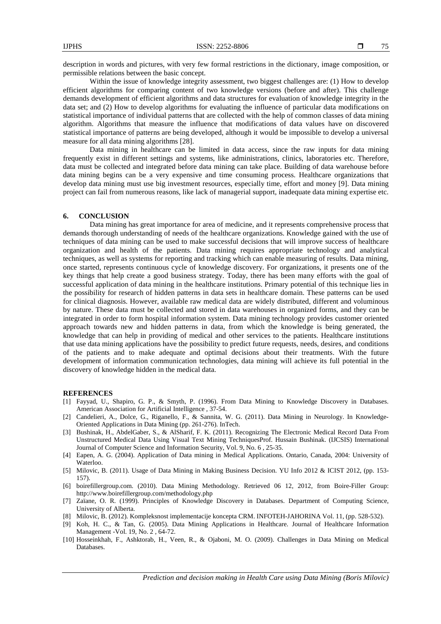description in words and pictures, with very few formal restrictions in the dictionary, image composition, or permissible relations between the basic concept.

Within the issue of knowledge integrity assessment, two biggest challenges are: (1) How to develop efficient algorithms for comparing content of two knowledge versions (before and after). This challenge demands development of efficient algorithms and data structures for evaluation of knowledge integrity in the data set; and (2) How to develop algorithms for evaluating the influence of particular data modifications on statistical importance of individual patterns that are collected with the help of common classes of data mining algorithm. Algorithms that measure the influence that modifications of data values have on discovered statistical importance of patterns are being developed, although it would be impossible to develop a universal measure for all data mining algorithms [28].

Data mining in healthcare can be limited in data access, since the raw inputs for data mining frequently exist in different settings and systems, like administrations, clinics, laboratories etc. Therefore, data must be collected and integrated before data mining can take place. Building of data warehouse before data mining begins can be a very expensive and time consuming process. Healthcare organizations that develop data mining must use big investment resources, especially time, effort and money [9]. Data mining project can fail from numerous reasons, like lack of managerial support, inadequate data mining expertise etc.

# **6. CONCLUSION**

Data mining has great importance for area of medicine, and it represents comprehensive process that demands thorough understanding of needs of the healthcare organizations. Knowledge gained with the use of techniques of data mining can be used to make successful decisions that will improve success of healthcare organization and health of the patients. Data mining requires appropriate technology and analytical techniques, as well as systems for reporting and tracking which can enable measuring of results. Data mining, once started, represents continuous cycle of knowledge discovery. For organizations, it presents one of the key things that help create a good business strategy. Today, there has been many efforts with the goal of successful application of data mining in the healthcare institutions. Primary potential of this technique lies in the possibility for research of hidden patterns in data sets in healthcare domain. These patterns can be used for clinical diagnosis. However, available raw medical data are widely distributed, different and voluminous by nature. These data must be collected and stored in data warehouses in organized forms, and they can be integrated in order to form hospital information system. Data mining technology provides customer oriented approach towards new and hidden patterns in data, from which the knowledge is being generated, the knowledge that can help in providing of medical and other services to the patients. Healthcare institutions that use data mining applications have the possibility to predict future requests, needs, desires, and conditions of the patients and to make adequate and optimal decisions about their treatments. With the future development of information communication technologies, data mining will achieve its full potential in the discovery of knowledge hidden in the medical data.

# **REFERENCES**

- [1] Fayyad, U., Shapiro, G. P., & Smyth, P. (1996). From Data Mining to Knowledge Discovery in Databases. American Association for Artificial Intelligence , 37-54.
- [2] Candelieri, A., Dolce, G., Riganello, F., & Sannita, W. G. (2011). Data Mining in Neurology. In Knowledge-Oriented Applications in Data Mining (pp. 261-276). InTech.
- [3] Bushinak, H., AbdelGaber, S., & AlSharif, F. K. (2011). Recognizing The Electronic Medical Record Data From Unstructured Medical Data Using Visual Text Mining TechniquesProf. Hussain Bushinak. (IJCSIS) International Journal of Computer Science and Information Security, Vol. 9, No. 6 , 25-35.
- [4] Eapen, A. G. (2004). Application of Data mining in Medical Applications. Ontario, Canada, 2004: University of Waterloo.
- [5] Milovic, B. (2011). Usage of Data Mining in Making Business Decision. YU Info 2012 & ICIST 2012, (pp. 153- 157).
- [6] boirefillergroup.com. (2010). Data Mining Methodology. Retrieved 06 12, 2012, from Boire-Filler Group: http://www.boirefillergroup.com/methodology.php
- [7] Zaïane, O. R. (1999). Principles of Knowledge Discovery in Databases. Department of Computing Science, University of Alberta.
- [8] Milovic, B. (2012). Kompleksnost implementacije koncepta CRM. INFOTEH-JAHORINA Vol. 11, (pp. 528-532).
- [9] Koh, H. C., & Tan, G. (2005). Data Mining Applications in Healthcare. Journal of Healthcare Information Management -Vol. 19, No. 2 , 64-72.
- [10] Hosseinkhah, F., Ashktorab, H., Veen, R., & Ojaboni, M. O. (2009). Challenges in Data Mining on Medical Databases.